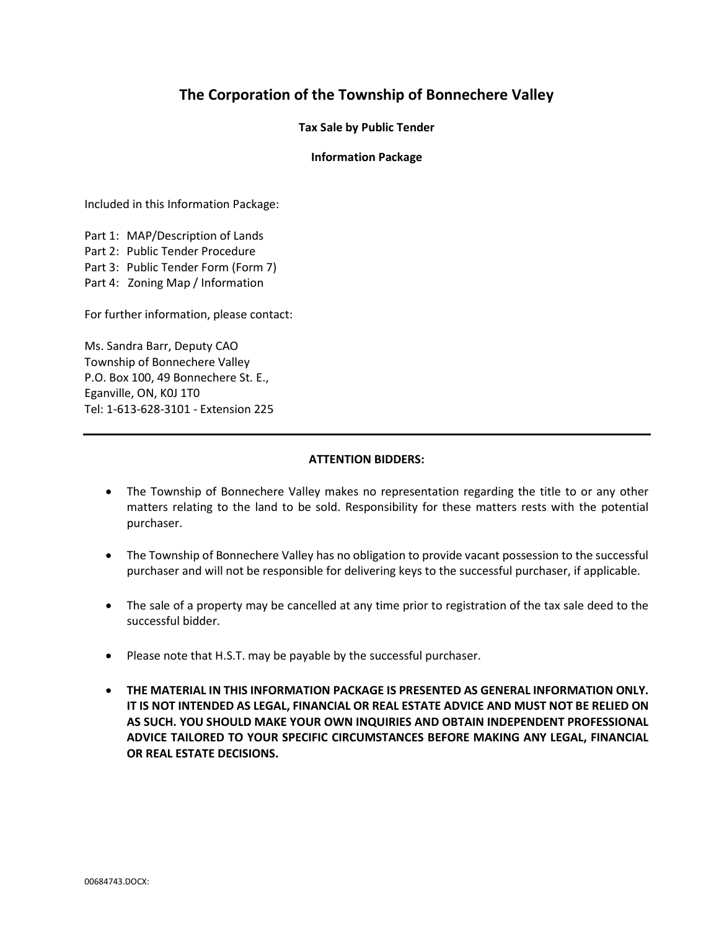# The Corporation of the Township of Bonnechere Valley

Tax Sale by Public Tender

### Information Package

Included in this Information Package:

Part 1: MAP/Description of Lands Part 2: Public Tender Procedure Part 3: Public Tender Form (Form 7) Part 4: Zoning Map / Information

For further information, please contact:

Ms. Sandra Barr, Deputy CAO Township of Bonnechere Valley P.O. Box 100, 49 Bonnechere St. E., Eganville, ON, K0J 1T0 Tel: 1-613-628-3101 - Extension 225

#### ATTENTION BIDDERS:

- The Township of Bonnechere Valley makes no representation regarding the title to or any other matters relating to the land to be sold. Responsibility for these matters rests with the potential purchaser.
- The Township of Bonnechere Valley has no obligation to provide vacant possession to the successful purchaser and will not be responsible for delivering keys to the successful purchaser, if applicable.
- The sale of a property may be cancelled at any time prior to registration of the tax sale deed to the successful bidder.
- Please note that H.S.T. may be payable by the successful purchaser.
- THE MATERIAL IN THIS INFORMATION PACKAGE IS PRESENTED AS GENERAL INFORMATION ONLY. IT IS NOT INTENDED AS LEGAL, FINANCIAL OR REAL ESTATE ADVICE AND MUST NOT BE RELIED ON AS SUCH. YOU SHOULD MAKE YOUR OWN INQUIRIES AND OBTAIN INDEPENDENT PROFESSIONAL ADVICE TAILORED TO YOUR SPECIFIC CIRCUMSTANCES BEFORE MAKING ANY LEGAL, FINANCIAL OR REAL ESTATE DECISIONS.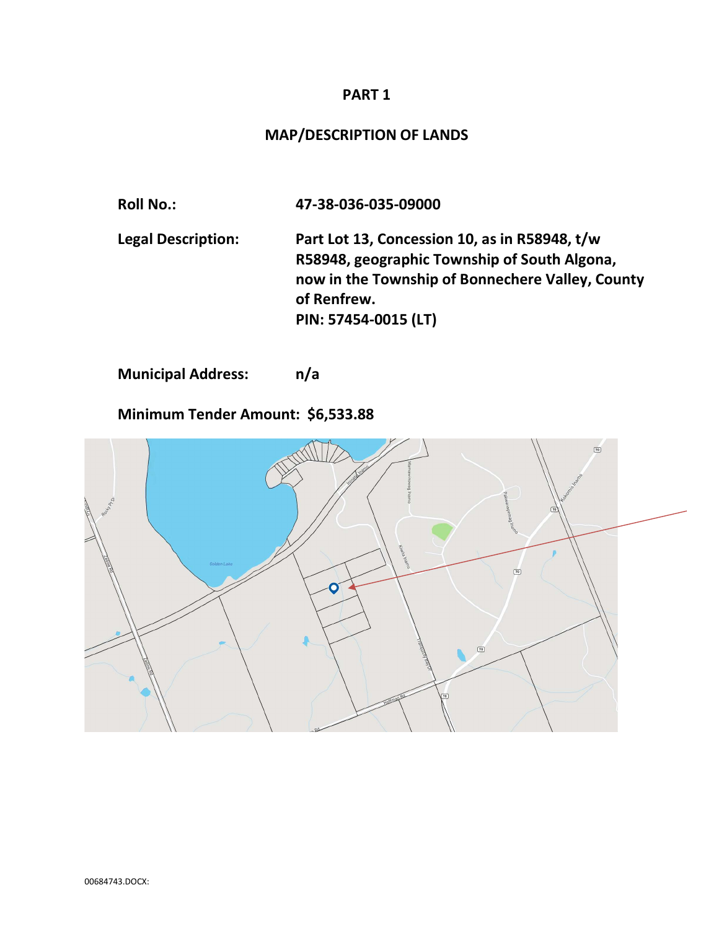## PART 1

# MAP/DESCRIPTION OF LANDS

Roll No.: 47-38-036-035-09000 Legal Description: Part Lot 13, Concession 10, as in R58948, t/w R58948, geographic Township of South Algona, now in the Township of Bonnechere Valley, County of Renfrew. PIN: 57454-0015 (LT)

Municipal Address: n/a

Minimum Tender Amount: \$6,533.88

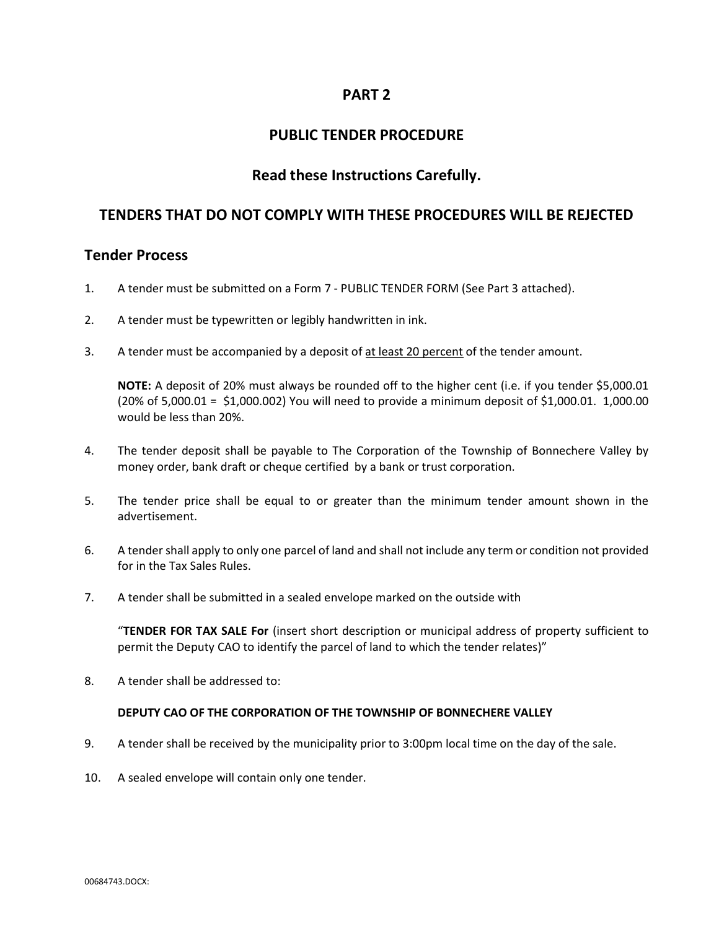## PART 2

## PUBLIC TENDER PROCEDURE

## Read these Instructions Carefully.

## TENDERS THAT DO NOT COMPLY WITH THESE PROCEDURES WILL BE REJECTED

## Tender Process

- 1. A tender must be submitted on a Form 7 PUBLIC TENDER FORM (See Part 3 attached).
- 2. A tender must be typewritten or legibly handwritten in ink.
- 3. A tender must be accompanied by a deposit of at least 20 percent of the tender amount.

 NOTE: A deposit of 20% must always be rounded off to the higher cent (i.e. if you tender \$5,000.01 (20% of 5,000.01 = \$1,000.002) You will need to provide a minimum deposit of \$1,000.01. 1,000.00 would be less than 20%.

- 4. The tender deposit shall be payable to The Corporation of the Township of Bonnechere Valley by money order, bank draft or cheque certified by a bank or trust corporation.
- 5. The tender price shall be equal to or greater than the minimum tender amount shown in the advertisement.
- 6. A tender shall apply to only one parcel of land and shall not include any term or condition not provided for in the Tax Sales Rules.
- 7. A tender shall be submitted in a sealed envelope marked on the outside with

 "TENDER FOR TAX SALE For (insert short description or municipal address of property sufficient to permit the Deputy CAO to identify the parcel of land to which the tender relates)"

8. A tender shall be addressed to:

### DEPUTY CAO OF THE CORPORATION OF THE TOWNSHIP OF BONNECHERE VALLEY

- 9. A tender shall be received by the municipality prior to 3:00pm local time on the day of the sale.
- 10. A sealed envelope will contain only one tender.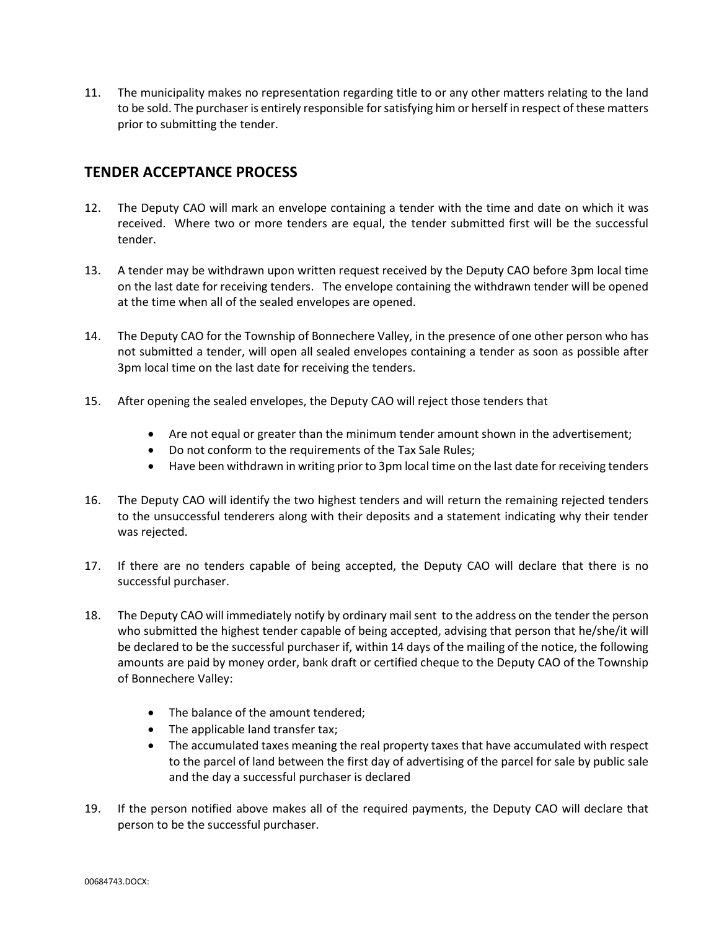11. The municipality makes no representation regarding title to or any other matters relating to the land to be sold. The purchaser is entirely responsible for satisfying him or herself in respect of these matters prior to submitting the tender.

# TENDER ACCEPTANCE PROCESS

- 12. The Deputy CAO will mark an envelope containing a tender with the time and date on which it was received. Where two or more tenders are equal, the tender submitted first will be the successful tender.
- 13. A tender may be withdrawn upon written request received by the Deputy CAO before 3pm local time on the last date for receiving tenders. The envelope containing the withdrawn tender will be opened at the time when all of the sealed envelopes are opened.
- 14. The Deputy CAO for the Township of Bonnechere Valley, in the presence of one other person who has not submitted a tender, will open all sealed envelopes containing a tender as soon as possible after 3pm local time on the last date for receiving the tenders.
- 15. After opening the sealed envelopes, the Deputy CAO will reject those tenders that
	- Are not equal or greater than the minimum tender amount shown in the advertisement;
	- Do not conform to the requirements of the Tax Sale Rules;
	- Have been withdrawn in writing prior to 3pm local time on the last date for receiving tenders
- 16. The Deputy CAO will identify the two highest tenders and will return the remaining rejected tenders to the unsuccessful tenderers along with their deposits and a statement indicating why their tender was rejected.
- 17. If there are no tenders capable of being accepted, the Deputy CAO will declare that there is no successful purchaser.
- 18. The Deputy CAO will immediately notify by ordinary mail sent to the address on the tender the person who submitted the highest tender capable of being accepted, advising that person that he/she/it will be declared to be the successful purchaser if, within 14 days of the mailing of the notice, the following amounts are paid by money order, bank draft or certified cheque to the Deputy CAO of the Township of Bonnechere Valley:
	- The balance of the amount tendered:
	- The applicable land transfer tax;
	- The accumulated taxes meaning the real property taxes that have accumulated with respect to the parcel of land between the first day of advertising of the parcel for sale by public sale and the day a successful purchaser is declared
- 19. If the person notified above makes all of the required payments, the Deputy CAO will declare that person to be the successful purchaser.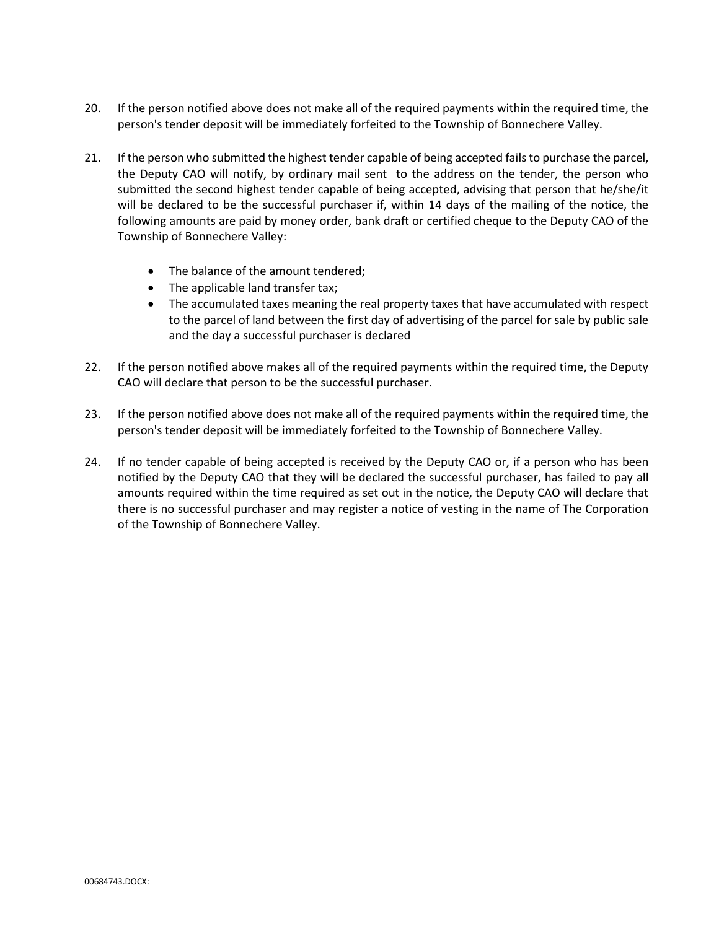- 20. If the person notified above does not make all of the required payments within the required time, the person's tender deposit will be immediately forfeited to the Township of Bonnechere Valley.
- 21. If the person who submitted the highest tender capable of being accepted fails to purchase the parcel, the Deputy CAO will notify, by ordinary mail sent to the address on the tender, the person who submitted the second highest tender capable of being accepted, advising that person that he/she/it will be declared to be the successful purchaser if, within 14 days of the mailing of the notice, the following amounts are paid by money order, bank draft or certified cheque to the Deputy CAO of the Township of Bonnechere Valley:
	- The balance of the amount tendered;
	- The applicable land transfer tax;
	- The accumulated taxes meaning the real property taxes that have accumulated with respect to the parcel of land between the first day of advertising of the parcel for sale by public sale and the day a successful purchaser is declared
- 22. If the person notified above makes all of the required payments within the required time, the Deputy CAO will declare that person to be the successful purchaser.
- 23. If the person notified above does not make all of the required payments within the required time, the person's tender deposit will be immediately forfeited to the Township of Bonnechere Valley.
- 24. If no tender capable of being accepted is received by the Deputy CAO or, if a person who has been notified by the Deputy CAO that they will be declared the successful purchaser, has failed to pay all amounts required within the time required as set out in the notice, the Deputy CAO will declare that there is no successful purchaser and may register a notice of vesting in the name of The Corporation of the Township of Bonnechere Valley.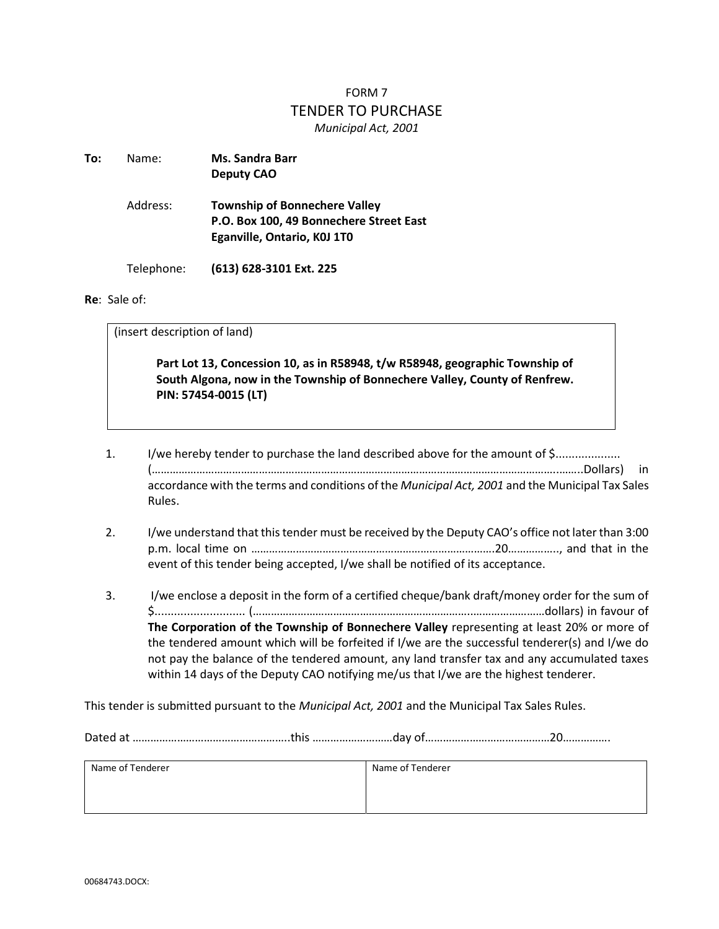# FORM 7 TENDER TO PURCHASE Municipal Act, 2001

| To: | Name:      | <b>Ms. Sandra Barr</b><br><b>Deputy CAO</b>                                                                    |  |
|-----|------------|----------------------------------------------------------------------------------------------------------------|--|
|     | Address:   | <b>Township of Bonnechere Valley</b><br>P.O. Box 100, 49 Bonnechere Street East<br>Eganville, Ontario, KOJ 1TO |  |
|     | Telephone: | (613) 628-3101 Ext. 225                                                                                        |  |

#### Re: Sale of:

(insert description of land)

 Part Lot 13, Concession 10, as in R58948, t/w R58948, geographic Township of South Algona, now in the Township of Bonnechere Valley, County of Renfrew. PIN: 57454-0015 (LT)

- 1. I/we hereby tender to purchase the land described above for the amount of \$.................... (………………………………………………………………………………………………………………………..……..Dollars) in accordance with the terms and conditions of the Municipal Act, 2001 and the Municipal Tax Sales Rules.
- 2. I/we understand that this tender must be received by the Deputy CAO's office not later than 3:00 p.m. local time on ……………………………………………………………………….20…………….., and that in the event of this tender being accepted, I/we shall be notified of its acceptance.
- 3. I/we enclose a deposit in the form of a certified cheque/bank draft/money order for the sum of \$............................ (………………………………………………………………..……………………dollars) in favour of The Corporation of the Township of Bonnechere Valley representing at least 20% or more of the tendered amount which will be forfeited if I/we are the successful tenderer(s) and I/we do not pay the balance of the tendered amount, any land transfer tax and any accumulated taxes within 14 days of the Deputy CAO notifying me/us that I/we are the highest tenderer.

This tender is submitted pursuant to the Municipal Act, 2001 and the Municipal Tax Sales Rules.

Dated at ……………………………………………..this ………………………day of……………………………………20…………….

| Name of Tenderer | Name of Tenderer |
|------------------|------------------|
|                  |                  |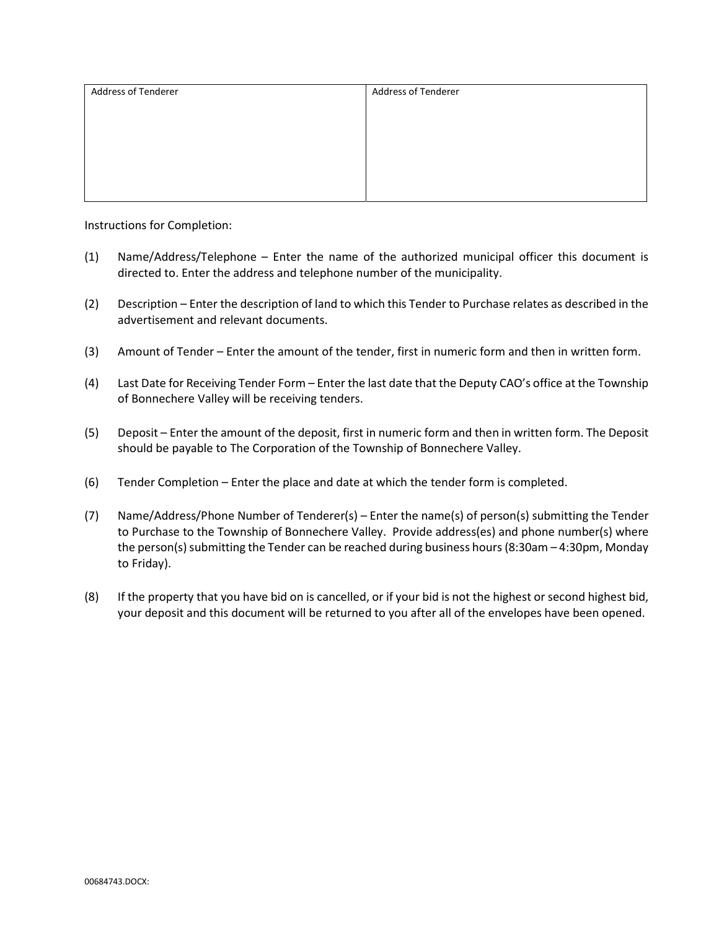| Address of Tenderer | <b>Address of Tenderer</b> |
|---------------------|----------------------------|
|                     |                            |
|                     |                            |
|                     |                            |
|                     |                            |
|                     |                            |
|                     |                            |

Instructions for Completion:

- (1) Name/Address/Telephone Enter the name of the authorized municipal officer this document is directed to. Enter the address and telephone number of the municipality.
- (2) Description Enter the description of land to which this Tender to Purchase relates as described in the advertisement and relevant documents.
- (3) Amount of Tender Enter the amount of the tender, first in numeric form and then in written form.
- (4) Last Date for Receiving Tender Form Enter the last date that the Deputy CAO's office at the Township of Bonnechere Valley will be receiving tenders.
- (5) Deposit Enter the amount of the deposit, first in numeric form and then in written form. The Deposit should be payable to The Corporation of the Township of Bonnechere Valley.
- (6) Tender Completion Enter the place and date at which the tender form is completed.
- (7) Name/Address/Phone Number of Tenderer(s) Enter the name(s) of person(s) submitting the Tender to Purchase to the Township of Bonnechere Valley. Provide address(es) and phone number(s) where the person(s) submitting the Tender can be reached during business hours (8:30am – 4:30pm, Monday to Friday).
- (8) If the property that you have bid on is cancelled, or if your bid is not the highest or second highest bid, your deposit and this document will be returned to you after all of the envelopes have been opened.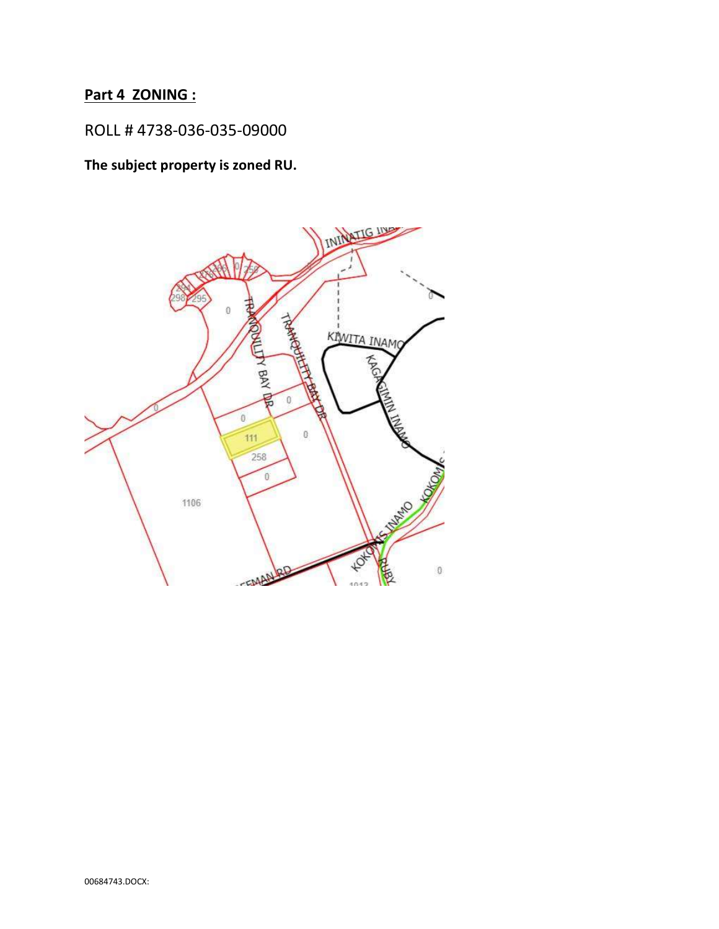# Part 4 ZONING :

# ROLL # 4738-036-035-09000

The subject property is zoned RU.

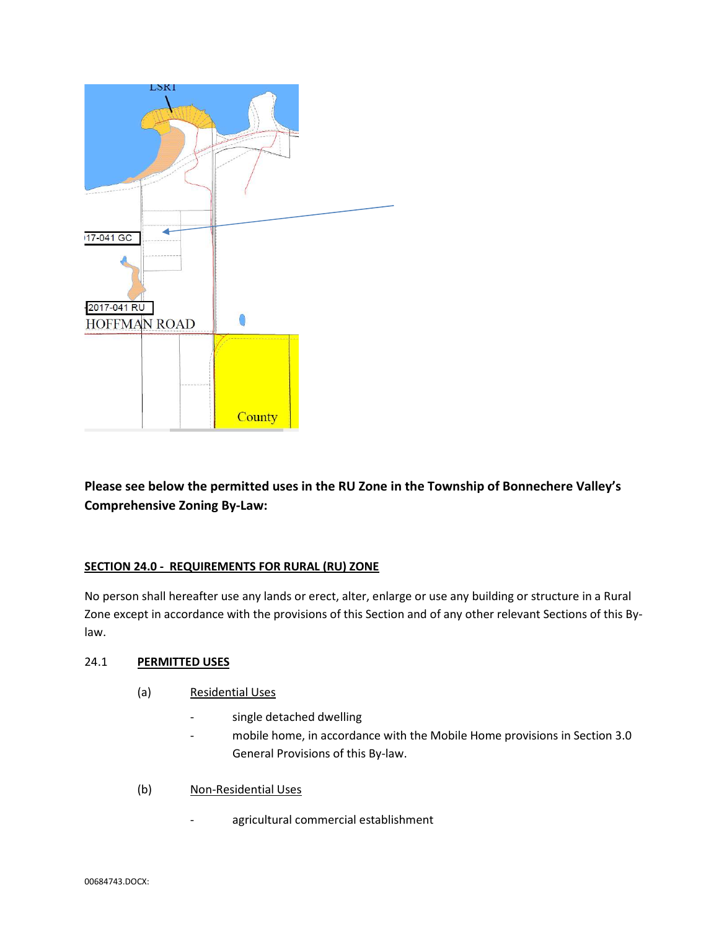

Please see below the permitted uses in the RU Zone in the Township of Bonnechere Valley's Comprehensive Zoning By-Law:

## SECTION 24.0 - REQUIREMENTS FOR RURAL (RU) ZONE

No person shall hereafter use any lands or erect, alter, enlarge or use any building or structure in a Rural Zone except in accordance with the provisions of this Section and of any other relevant Sections of this Bylaw.

### 24.1 PERMITTED USES

- (a) Residential Uses
	- single detached dwelling
	- mobile home, in accordance with the Mobile Home provisions in Section 3.0 General Provisions of this By-law.
- (b) Non-Residential Uses
	- agricultural commercial establishment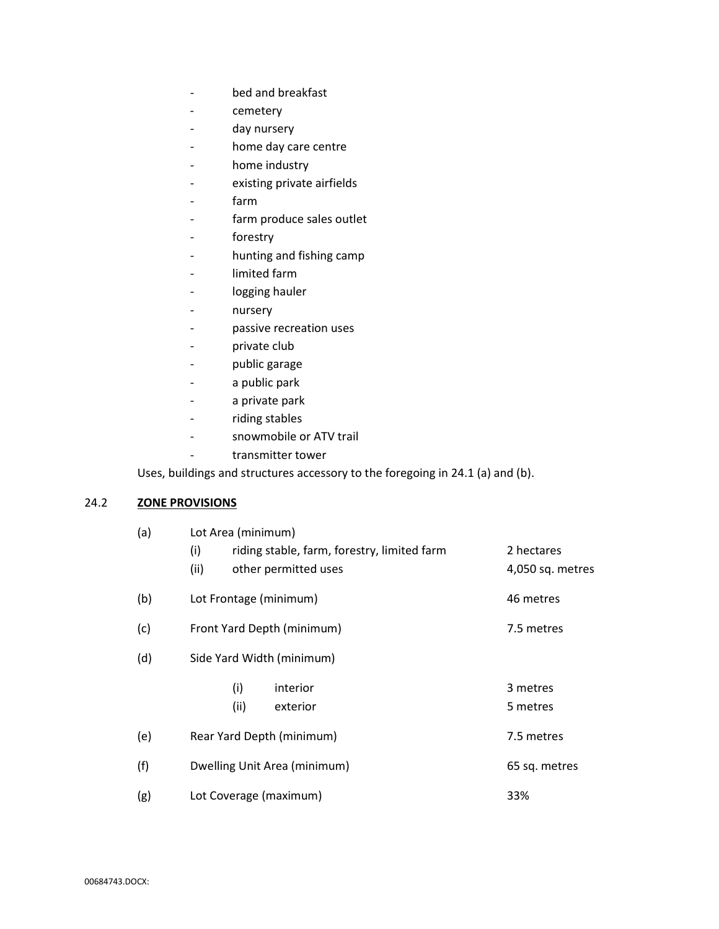- bed and breakfast
- cemetery
- day nursery
- home day care centre
- home industry
- existing private airfields
- farm
- farm produce sales outlet
- forestry
- hunting and fishing camp
- limited farm
- logging hauler
- nursery
- passive recreation uses
- private club
- public garage
- a public park
- a private park
- riding stables
- snowmobile or ATV trail
- transmitter tower

Uses, buildings and structures accessory to the foregoing in 24.1 (a) and (b).

### 24.2 **ZONE PROVISIONS**

| (a) | Lot Area (minimum)                                 |                  |  |
|-----|----------------------------------------------------|------------------|--|
|     | (i)<br>riding stable, farm, forestry, limited farm | 2 hectares       |  |
|     | (ii)<br>other permitted uses                       | 4,050 sq. metres |  |
| (b) | Lot Frontage (minimum)                             | 46 metres        |  |
| (c) | Front Yard Depth (minimum)                         | 7.5 metres       |  |
| (d) | Side Yard Width (minimum)                          |                  |  |
|     | (i)<br>interior                                    | 3 metres         |  |
|     | (ii)<br>exterior                                   | 5 metres         |  |
| (e) | Rear Yard Depth (minimum)                          | 7.5 metres       |  |
| (f) | Dwelling Unit Area (minimum)                       | 65 sq. metres    |  |
| (g) | Lot Coverage (maximum)                             | 33%              |  |